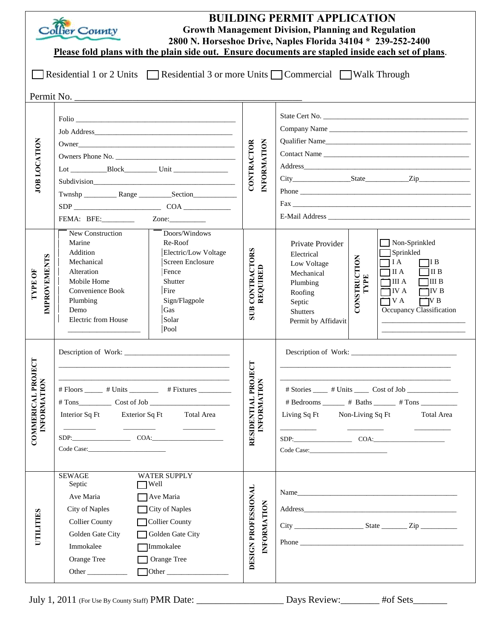| <b>BUILDING PERMIT APPLICATION</b><br>Collier County<br><b>Growth Management Division, Planning and Regulation</b><br>2800 N. Horseshoe Drive, Naples Florida 34104 * 239-252-2400<br>Please fold plans with the plain side out. Ensure documents are stapled inside each set of plans. |                                                                                                                                                                                                                                                                                                                              |                                              |                                                                                                                                                                                                                                                                                                                                                                                 |  |
|-----------------------------------------------------------------------------------------------------------------------------------------------------------------------------------------------------------------------------------------------------------------------------------------|------------------------------------------------------------------------------------------------------------------------------------------------------------------------------------------------------------------------------------------------------------------------------------------------------------------------------|----------------------------------------------|---------------------------------------------------------------------------------------------------------------------------------------------------------------------------------------------------------------------------------------------------------------------------------------------------------------------------------------------------------------------------------|--|
| Residential 1 or 2 Units ΠResidential 3 or more Units ΠCommercial ΠWalk Through                                                                                                                                                                                                         |                                                                                                                                                                                                                                                                                                                              |                                              |                                                                                                                                                                                                                                                                                                                                                                                 |  |
| Permit No.                                                                                                                                                                                                                                                                              |                                                                                                                                                                                                                                                                                                                              |                                              |                                                                                                                                                                                                                                                                                                                                                                                 |  |
| JOB LOCATION                                                                                                                                                                                                                                                                            | $0$ wner<br>FEMA: BFE: Zone:                                                                                                                                                                                                                                                                                                 | <b>INFORMATION</b><br>CONTRACTOR             | State Cert No.<br>Company Name                                                                                                                                                                                                                                                                                                                                                  |  |
| <b>IMPROVEMENTS</b><br><b>TYPE OF</b>                                                                                                                                                                                                                                                   | New Construction<br>Doors/Windows<br>Marine<br>Re-Roof<br>Addition<br>Electric/Low Voltage<br>Mechanical<br>Screen Enclosure<br>Alteration<br>Fence<br>Mobile Home<br>Shutter<br>Convenience Book<br>Fire<br>Plumbing<br>Sign/Flagpole<br>Gas<br>Demo<br>Electric from House<br>Solar<br>Pool                                | CONTRACTORS<br>REQUIRED<br><b>SUB</b>        | $\Box$ Non-Sprinkled<br>Private Provider<br>Sprinkled<br>Electrical<br>CONSTRUCTION<br>$\bigcap$ I A<br>7I B<br>Low Voltage<br>$\Box$ II A<br>$\Box$ II B<br>Mechanical<br>TYPE<br>$\Box$ III A<br>$\Box$ III B<br>Plumbing<br>$\Box$ IV A<br>$\Box$ IV B<br>Roofing<br>$\Box$ V A<br>$\Box$ VB<br>Septic<br>Occupancy Classification<br><b>Shutters</b><br>Permit by Affidavit |  |
| ರ<br>COMMERICAL PROJE<br><b>INFORMATION</b>                                                                                                                                                                                                                                             | $# \text{Floors}$ $# \text{ Units}$ $# \text{Fixtures}$<br>$\# \text{Tons}$ Cost of Job<br>Interior Sq Ft Exterior Sq Ft Total Area<br><u> 1989 - Jan Barbara Barat, prima provincia de la provincia de la provincia de la provincia de la provincia de l</u><br><u> 1989 - Andrea State Barnett, amerikansk politiker (</u> | 틍<br>RESIDENTIAL PROJE<br><b>INFORMATION</b> | # Bedrooms ______ # Baths ______ # Tons _________<br>Living Sq Ft Non-Living Sq Ft<br><b>Total Area</b><br>$SDP:$ COA: COA:                                                                                                                                                                                                                                                     |  |
| UTILITIES                                                                                                                                                                                                                                                                               | <b>SEWAGE</b><br>WATER SUPPLY<br>Septic<br>$\Box$ Well<br>Ave Maria<br>Ave Maria<br>City of Naples<br>City of Naples<br><b>Collier County</b><br>Collier County<br>Golden Gate City<br>Golden Gate City<br>Immokalee<br>Immokalee<br>Orange Tree<br>Orange Tree                                                              | DESIGN PROFESSIONAL<br>INFORMATION           | Name<br>Address and the contract of the contract of the contract of the contract of the contract of the contract of the contract of the contract of the contract of the contract of the contract of the contract of the contract of th                                                                                                                                          |  |